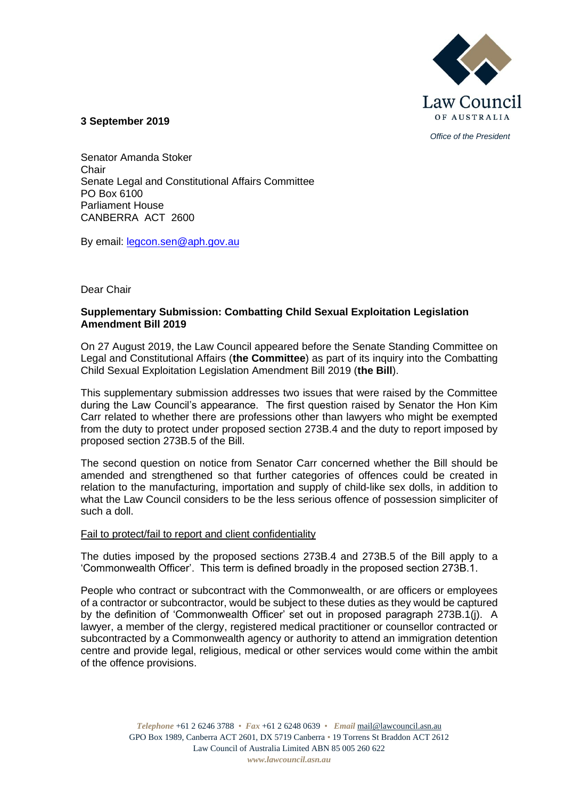

*Office of the President*

### **3 September 2019**

Senator Amanda Stoker Chair Senate Legal and Constitutional Affairs Committee PO Box 6100 Parliament House CANBERRA ACT 2600

By email: [legcon.sen@aph.gov.au](mailto:legcon.sen@aph.gov.au)

## Dear Chair

# **Supplementary Submission: Combatting Child Sexual Exploitation Legislation Amendment Bill 2019**

On 27 August 2019, the Law Council appeared before the Senate Standing Committee on Legal and Constitutional Affairs (**the Committee**) as part of its inquiry into the Combatting Child Sexual Exploitation Legislation Amendment Bill 2019 (**the Bill**).

This supplementary submission addresses two issues that were raised by the Committee during the Law Council's appearance. The first question raised by Senator the Hon Kim Carr related to whether there are professions other than lawyers who might be exempted from the duty to protect under proposed section 273B.4 and the duty to report imposed by proposed section 273B.5 of the Bill.

The second question on notice from Senator Carr concerned whether the Bill should be amended and strengthened so that further categories of offences could be created in relation to the manufacturing, importation and supply of child-like sex dolls, in addition to what the Law Council considers to be the less serious offence of possession simpliciter of such a doll.

#### Fail to protect/fail to report and client confidentiality

The duties imposed by the proposed sections 273B.4 and 273B.5 of the Bill apply to a 'Commonwealth Officer'. This term is defined broadly in the proposed section 273B.1.

People who contract or subcontract with the Commonwealth, or are officers or employees of a contractor or subcontractor, would be subject to these duties as they would be captured by the definition of 'Commonwealth Officer' set out in proposed paragraph 273B.1(j). A lawyer, a member of the clergy, registered medical practitioner or counsellor contracted or subcontracted by a Commonwealth agency or authority to attend an immigration detention centre and provide legal, religious, medical or other services would come within the ambit of the offence provisions.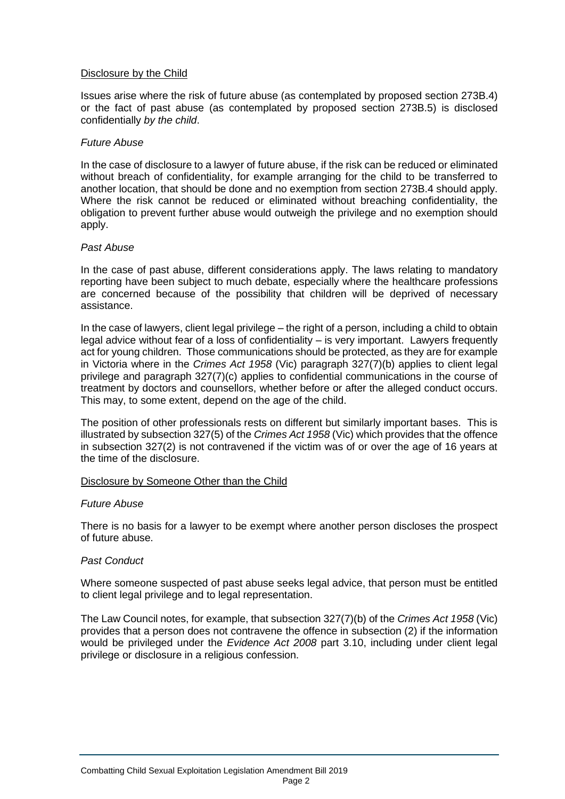### Disclosure by the Child

Issues arise where the risk of future abuse (as contemplated by proposed section 273B.4) or the fact of past abuse (as contemplated by proposed section 273B.5) is disclosed confidentially *by the child*.

#### *Future Abuse*

In the case of disclosure to a lawyer of future abuse, if the risk can be reduced or eliminated without breach of confidentiality, for example arranging for the child to be transferred to another location, that should be done and no exemption from section 273B.4 should apply. Where the risk cannot be reduced or eliminated without breaching confidentiality, the obligation to prevent further abuse would outweigh the privilege and no exemption should apply.

### *Past Abuse*

In the case of past abuse, different considerations apply. The laws relating to mandatory reporting have been subject to much debate, especially where the healthcare professions are concerned because of the possibility that children will be deprived of necessary assistance.

In the case of lawyers, client legal privilege – the right of a person, including a child to obtain legal advice without fear of a loss of confidentiality – is very important. Lawyers frequently act for young children. Those communications should be protected, as they are for example in Victoria where in the *Crimes Act 1958* (Vic) paragraph 327(7)(b) applies to client legal privilege and paragraph 327(7)(c) applies to confidential communications in the course of treatment by doctors and counsellors, whether before or after the alleged conduct occurs. This may, to some extent, depend on the age of the child.

The position of other professionals rests on different but similarly important bases. This is illustrated by subsection 327(5) of the *Crimes Act 1958* (Vic) which provides that the offence in subsection 327(2) is not contravened if the victim was of or over the age of 16 years at the time of the disclosure.

## Disclosure by Someone Other than the Child

#### *Future Abuse*

There is no basis for a lawyer to be exempt where another person discloses the prospect of future abuse.

## *Past Conduct*

Where someone suspected of past abuse seeks legal advice, that person must be entitled to client legal privilege and to legal representation.

The Law Council notes, for example, that subsection 327(7)(b) of the *Crimes Act 1958* (Vic) provides that a person does not contravene the offence in subsection (2) if the information would be privileged under the *Evidence Act 2008* part 3.10, including under client legal privilege or disclosure in a religious confession.